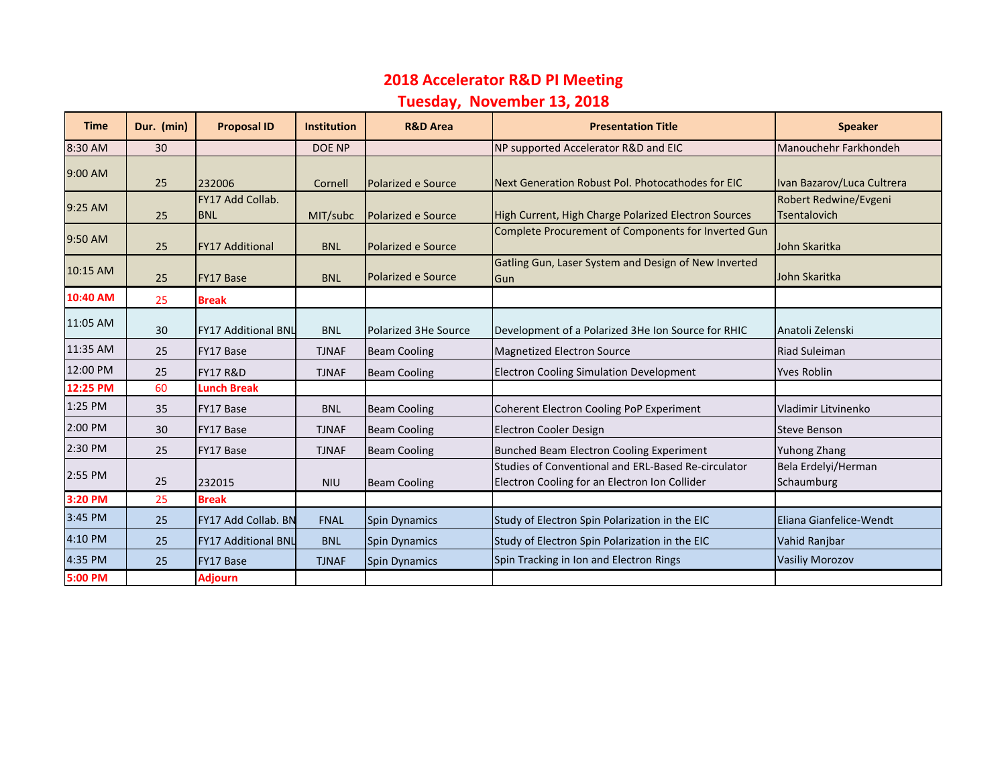## **2018 Accelerator R&D PI Meeting**

## **Tuesday, November 13, 2018**

| <b>Time</b> | Dur. (min) | <b>Proposal ID</b>             | <b>Institution</b> | <b>R&amp;D Area</b>  | <b>Presentation Title</b>                                                                            | <b>Speaker</b>                               |
|-------------|------------|--------------------------------|--------------------|----------------------|------------------------------------------------------------------------------------------------------|----------------------------------------------|
| 8:30 AM     | 30         |                                | DOE NP             |                      | NP supported Accelerator R&D and EIC                                                                 | Manouchehr Farkhondeh                        |
| 9:00 AM     | 25         | 232006                         | Cornell            | Polarized e Source   | Next Generation Robust Pol. Photocathodes for EIC                                                    | Ivan Bazarov/Luca Cultrera                   |
| 9:25 AM     | 25         | FY17 Add Collab.<br><b>BNL</b> | MIT/subc           | Polarized e Source   | High Current, High Charge Polarized Electron Sources                                                 | Robert Redwine/Evgeni<br><b>Tsentalovich</b> |
| 9:50 AM     | 25         | <b>FY17 Additional</b>         | <b>BNL</b>         | Polarized e Source   | Complete Procurement of Components for Inverted Gun                                                  | John Skaritka                                |
| 10:15 AM    | 25         | <b>FY17 Base</b>               | <b>BNL</b>         | Polarized e Source   | Gatling Gun, Laser System and Design of New Inverted<br>Gun                                          | John Skaritka                                |
| 10:40 AM    | 25         | <b>Break</b>                   |                    |                      |                                                                                                      |                                              |
| 11:05 AM    | 30         | <b>FY17 Additional BNL</b>     | <b>BNL</b>         | Polarized 3He Source | Development of a Polarized 3He Ion Source for RHIC                                                   | Anatoli Zelenski                             |
| 11:35 AM    | 25         | FY17 Base                      | <b>TJNAF</b>       | <b>Beam Cooling</b>  | <b>Magnetized Electron Source</b>                                                                    | <b>Riad Suleiman</b>                         |
| 12:00 PM    | 25         | <b>FY17 R&amp;D</b>            | <b>TJNAF</b>       | <b>Beam Cooling</b>  | <b>Electron Cooling Simulation Development</b>                                                       | <b>Yves Roblin</b>                           |
| 12:25 PM    | 60         | <b>Lunch Break</b>             |                    |                      |                                                                                                      |                                              |
| 1:25 PM     | 35         | FY17 Base                      | <b>BNL</b>         | <b>Beam Cooling</b>  | Coherent Electron Cooling PoP Experiment                                                             | Vladimir Litvinenko                          |
| 2:00 PM     | 30         | FY17 Base                      | <b>TJNAF</b>       | <b>Beam Cooling</b>  | Electron Cooler Design                                                                               | <b>Steve Benson</b>                          |
| 2:30 PM     | 25         | FY17 Base                      | <b>TJNAF</b>       | <b>Beam Cooling</b>  | Bunched Beam Electron Cooling Experiment                                                             | Yuhong Zhang                                 |
| 2:55 PM     | 25         | 232015                         | <b>NIU</b>         | <b>Beam Cooling</b>  | Studies of Conventional and ERL-Based Re-circulator<br>Electron Cooling for an Electron Ion Collider | Bela Erdelyi/Herman<br>Schaumburg            |
| 3:20 PM     | 25         | <b>Break</b>                   |                    |                      |                                                                                                      |                                              |
| 3:45 PM     | 25         | <b>FY17 Add Collab, BN</b>     | <b>FNAL</b>        | <b>Spin Dynamics</b> | Study of Electron Spin Polarization in the EIC                                                       | Eliana Gianfelice-Wendt                      |
| 4:10 PM     | 25         | <b>FY17 Additional BNL</b>     | <b>BNL</b>         | <b>Spin Dynamics</b> | Study of Electron Spin Polarization in the EIC                                                       | Vahid Ranjbar                                |
| 4:35 PM     | 25         | FY17 Base                      | <b>TJNAF</b>       | <b>Spin Dynamics</b> | Spin Tracking in Ion and Electron Rings                                                              | <b>Vasiliy Morozov</b>                       |
| 5:00 PM     |            | Adjourn                        |                    |                      |                                                                                                      |                                              |